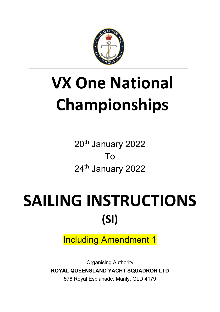

# **VX One National Championships**

20<sup>th</sup> January 2022 To 24<sup>th</sup> January 2022

# SAILING INSTRUCTIONS **(SI)**

Including Amendment 1

Organising Authority **ROYAL QUEENSLAND YACHT SQUADRON LTD** 578 Royal Esplanade, Manly, QLD 4179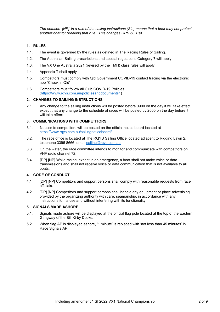*The notation '[NP]' in a rule of the sailing instructions (SIs) means that a boat may not protest another boat for breaking that rule. This changes RRS 60.1(a).* 

#### **1. RULES**

- 1.1. The event is governed by the rules as defined in The Racing Rules of Sailing.
- 1.2. The Australian Sailing prescriptions and special regulations Category 7 will apply.
- 1.3. The VX One Australia 2021 (revised by the TMH) class rules will apply.
- 1.4. Appendix T shall apply
- 1.5. Competitors must comply with Qld Government COVID-19 contact tracing via the electronic app "Check in Qld".
- 1.6. Competitors must follow all Club COVID-19 Policies [\(https://www.rqys.com.au/policiesanddocuments/](https://www.rqys.com.au/policiesanddocuments/) )

#### **2. CHANGES TO SAILING INSTRUCTIONS**

2.1. Any change to the sailing instructions will be posted before 0900 on the day it will take effect, except that any change to the schedule of races will be posted by 2000 on the day before it will take effect.

#### **3. COMMUNICATIONS WITH COMPETITORS**

- 3.1. Notices to competitors will be posted on the official notice board located at <https://www.rqys.com.au/sailingnoticeboard/> .
- 3.2. The race office is located at The RQYS Sailing Office located adjacent to Rigging Lawn 2, telephone 3396 8666, email sailing@rgys.com.au.
- 3.3. On the water, the race committee intends to monitor and communicate with competitors on VHF radio channel 72.
- 3.4. [DP] [NP] While racing, except in an emergency, a boat shall not make voice or data transmissions and shall not receive voice or data communication that is not available to all boats.

#### **4. CODE OF CONDUCT**

- 4.1 [DP] [NP] Competitors and support persons shall comply with reasonable requests from race officials.
- 4.2 [DP] [NP] Competitors and support persons shall handle any equipment or place advertising provided by the organizing authority with care, seamanship, in accordance with any instructions for its use and without interfering with its functionality.

#### **5. SIGNALS MADE ASHORE**

- 5.1. Signals made ashore will be displayed at the official flag pole located at the top of the Eastern Gangway of the Bill Kirby Docks.
- 5.2. When flag AP is displayed ashore, '1 minute' is replaced with 'not less than 45 minutes' in Race Signals AP.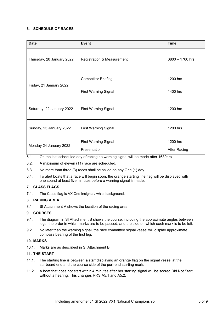#### **6. SCHEDULE OF RACES**

| <b>Date</b>               | <b>Event</b>                          | <b>Time</b>         |
|---------------------------|---------------------------------------|---------------------|
| Thursday, 20 January 2022 | <b>Registration &amp; Measurement</b> | $0800 - 1700$ hrs   |
| Friday, 21 January 2022   | <b>Competitor Briefing</b>            | 1200 hrs            |
|                           | <b>First Warning Signal</b>           | 1400 hrs            |
| Saturday, 22 January 2022 | <b>First Warning Signal</b>           | 1200 hrs            |
| Sunday, 23 January 2022   | <b>First Warning Signal</b>           | 1200 hrs            |
| Monday 24 January 2022    | <b>First Warning Signal</b>           | 1200 hrs            |
|                           | Presentation                          | <b>After Racing</b> |

- 6.1. On the last scheduled day of racing no warning signal will be made after 1630hrs.
- 6.2. A maximum of eleven (11) race are scheduled.
- 6.3. No more than three (3) races shall be sailed on any One (1) day.
- 6.4. To alert boats that a race will begin soon, the orange starting line flag will be displayed with one sound at least five minutes before a warning signal is made.

#### **7. CLASS FLAGS**

7.1. The Class flag is VX One Insignia / white background.

#### **8. RACING AREA**

8.1 SI Attachment A shows the location of the racing area.

#### **9. COURSES**

- 9.1. The diagram in SI Attachment B shows the course, including the approximate angles between legs, the order in which marks are to be passed, and the side on which each mark is to be left.
- 9.2. No later than the warning signal, the race committee signal vessel will display approximate compass bearing of the first leg.

#### **10. MARKS**

10.1. Marks are as described in SI Attachment B.

#### **11. THE START**

- 11.1. The starting line is between a staff displaying an orange flag on the signal vessel at the starboard end and the course side of the port-end starting mark.
- 11.2. A boat that does not start within 4 minutes after her starting signal will be scored Did Not Start without a hearing. This changes RRS A5.1 and A5.2.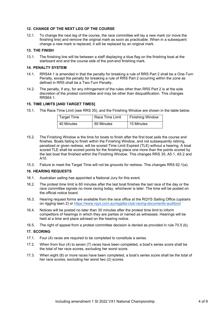#### **12. CHANGE OF THE NEXT LEG OF THE COURSE**

12.1. To change the next leg of the course, the race committee will lay a new mark (or move the finishing line) and remove the original mark as soon as practicable. When in a subsequent change a new mark is replaced, it will be replaced by an original mark.

#### **13. THE FINISH**

13.1. The finishing line will be between a staff displaying a blue flag on the finishing boat at the starboard end and the course side of the port-end finishing mark.

#### **14. PENALTY SYSTEM**

- 14.1. RRS44.1 is amended in that the penalty for breaking a rule of RRS Part 2 shall be a One-Turn Penalty, except the penalty for breaking a rule of RRS Part 2 occurring within the zone as defined in RRS shall be a Two-Turn Penalty.
- 14.2. The penalty, if any, for any infringement of the rules other than RRS Part 2 is at the sole discretion of the protest committee and may be other than disqualification. This changes RRS64.1.

#### **15. TIME LIMITS [AND TARGET TIMES]**

15.1. The Race Time Limit (see RRS 35), and the Finishing Window are shown in the table below.

| Target Time | Race Time Limit | <b>Finishing Window</b> |
|-------------|-----------------|-------------------------|
| 40 Minutes  | 60 Minutes      | 15 Minutes              |

- 15.2. The Finishing Window is the time for boats to finish after the first boat sails the course and finishes. Boats failing to finish within the Finishing Window, and not subsequently retiring, penalized or given redress, will be scored Time Limit Expired (TLE) without a hearing. A boat scored TLE shall be scored points for the finishing place one more than the points scored by the last boat that finished within the Finishing Window. This changes RRS 35, A5.1, A5.2 and A10.
- 15.3. Failure to meet the Target Time will not be grounds for redress. This changes RRS 62.1(a).

#### **16. HEARING REQUESTS**

- 16.1. Australian sailing has appointed a National Jury for this event.
- 16.2. The protest time limit is 60 minutes after the last boat finishes the last race of the day or the race committee signals no more racing today, whichever is later. The time will be posted on the official notice board.
- 16.3. Hearing request forms are available from the race office at the RQYS Sailing Office (upstairs on rigging lawn 2) or<https://www.rqys.com.au/regatta-club-racing-documents-auditors/>
- 16.4. Notices will be posted no later than 30 minutes after the protest time limit to inform competitors of hearings in which they are parties or named as witnesses. Hearings will be held at a time and place advised on the hearing notice.
- 16.5. The right of appeal from a protest committee decision is denied as provided in rule 70.5 (b).

#### **17. SCORING**

- 17.1. Four (4) races are required to be completed to constitute a series.
- 17.2. When from four (4) to seven (7) races have been completed, a boat's series score shall be the total of her race scores, excluding her worst score.
- 17.3. When eight (8) or more races have been completed, a boat's series score shall be the total of her race scores, excluding her worst two (2) scores.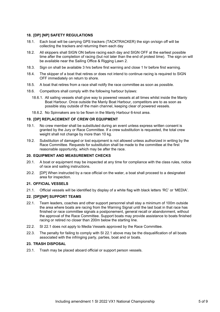#### **18. [DP] [NP] SAFETY REGULATIONS**

- 18.1. Each boat will be carrying GPS trackers (TACKTRACKER) the sign on/sign off will be collecting the trackers and returning them each day
- 18.2. All skippers shall SIGN ON before racing each day and SIGN OFF at the earliest possible time after the completion of racing (but not later than the end of protest time). The sign on will be available near the Sailing Office & Rigging Lawn 2.
- 18.3. Sign on shall be available 3 hrs before first warning and close 1 hr before first warning.
- 18.4. The skipper of a boat that retires or does not intend to continue racing is required to SIGN OFF immediately on return to shore.
- 18.5. A boat that retires from a race shall notify the race committee as soon as possible.
- 18.6. Competitors shall comply with the following harbour bylaws:
	- 18.6.1. All sailing vessels shall give way to powered vessels at all times whilst inside the Manly Boat Harbour. Once outside the Manly Boat Harbour, competitors are to as soon as possible stay outside of the main channel, keeping clear of powered vessels.
	- 18.6.2. No Spinnakers are to be flown in the Manly Harbour 6-knot area.

#### **19. [DP] REPLACEMENT OF CREW OR EQUIPMENT**

- 19.1. No crew member shall be substituted during an event unless express written consent is granted by the Jury or Race Committee. If a crew substitution is requested, the total crew weight shall not change by more than 10 kg.
- 19.2. Substitution of damaged or lost equipment is not allowed unless authorized in writing by the Race Committee. Requests for substitution shall be made to the committee at the first reasonable opportunity, which may be after the race.

#### **20. EQUIPMENT AND MEASUREMENT CHECKS**

- 20.1. A boat or equipment may be inspected at any time for compliance with the class rules, notice of race and sailing instructions.
- 20.2. [DP] When instructed by a race official on the water, a boat shall proceed to a designated area for inspection.

#### **21. OFFICIAL VESSELS**

21.1. Official vessels will be identified by display of a white flag with black letters 'RC' or 'MEDIA'.

#### **22. [DP][NP] SUPPORT TEAMS**

- 22.1. Team leaders, coaches and other support personnel shall stay a minimum of 100m outside the area where boats are racing from the Warning Signal until the last boat in that race has finished or race committee signals a postponement, general recall or abandonment, without the approval of the Race Committee. Support boats may provide assistance to boats finished racing or retired no closer than 200m below the starting line.
- 22.2. SI 22.1 does not apply to Media Vessels approved by the Race Committee.
- 22.3. The penalty for failing to comply with SI 22.1 above may be the disqualification of all boats associated with the infringing party, parties, boat and or boats.

#### **23. TRASH DISPOSAL**

23.1. Trash may be placed aboard official or support person vessels.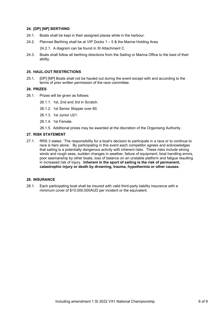#### **24. [DP] [NP] BERTHING**

- 24.1. Boats shall be kept in their assigned places while in the harbour.
- 24.2. Planned Berthing shall be at VIP Docks 1 5 & the Marine Holding Area.

24.2.1. A diagram can be found in SI Attachment C.

24.3. Boats shall follow all berthing directions from the Sailing or Marina Office to the best of their ability.

#### **25. HAUL-OUT RESTRICTIONS**

25.1. [DP] [NP] Boats shall not be hauled out during the event except with and according to the terms of prior written permission of the race committee.

#### **26. PRIZES**

- 26.1. Prizes will be given as follows:
	- 26.1.1. 1st, 2nd and 3rd in Scratch.
	- 26.1.2. 1st Senior Skipper over 60.
	- 26.1.3. 1st Junior U21.
	- 26.1.4. 1st Female.
	- 26.1.5. Additional prizes may be awarded at the discretion of the Organising Authority.

#### **27. RISK STATEMENT**

27.1. RRS 3 states: 'The responsibility for a boat's decision to participate in a race or to continue to race is hers alone.' By participating in this event each competitor agrees and acknowledges that sailing is a potentially dangerous activity with inherent risks. These risks include strong winds and rough seas, sudden changes in weather, failure of equipment, boat handling errors, poor seamanship by other boats, loss of balance on an unstable platform and fatigue resulting in increased risk of injury. **Inherent in the sport of sailing is the risk of permanent, catastrophic injury or death by drowning, trauma, hypothermia or other causes.**

#### **28. INSURANCE**

28.1. Each participating boat shall be insured with valid third-party liability insurance with a minimum cover of \$10,000,000AUD per incident or the equivalent.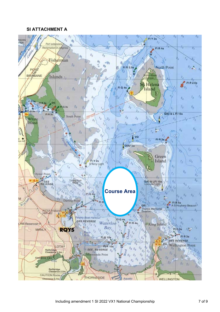### **SI ATTACHMENT A**

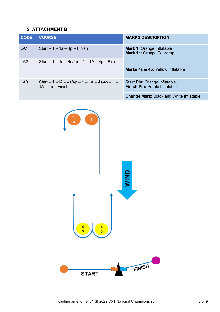# **SI ATTACHMENT B**

| <b>CODE</b>     | <b>COURSE</b>                                                        | <b>MARKS DESCRIPTION</b>                                              |
|-----------------|----------------------------------------------------------------------|-----------------------------------------------------------------------|
| LA <sub>1</sub> | Start $-1 - 1a - 4p$ – Finish                                        | <b>Mark 1: Orange Inflatable</b><br><b>Mark 1a: Orange Teardrop</b>   |
| LA <sub>2</sub> | Start $-1 - 1a - 4s/4p - 1 - 1A - 4p - Finish$                       |                                                                       |
|                 |                                                                      | Marks 4s & 4p: Yellow Inflatable                                      |
| LA3             | Start $-1 - 1A - 4s/4p - 1 - 1A - 4s/4p - 1 -$<br>$1A - 4p - Finish$ | <b>Start Pin: Orange Inflatable</b><br>Finish Pin: Purple Inflatable. |
|                 |                                                                      | <b>Change Mark: Black and White Inflatable</b>                        |